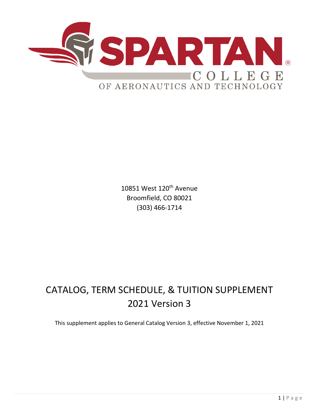

10851 West 120<sup>th</sup> Avenue Broomfield, CO 80021 (303) 466-1714

# CATALOG, TERM SCHEDULE, & TUITION SUPPLEMENT 2021 Version 3

This supplement applies to General Catalog Version 3, effective November 1, 2021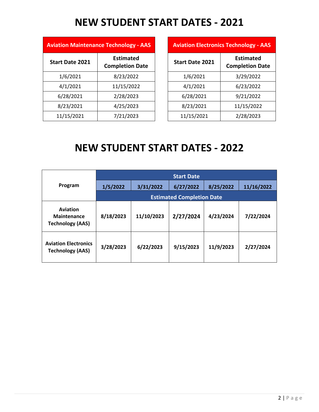## **NEW STUDENT START DATES - 2021**

|                        | <b>Aviation Maintenance Technology - AAS</b> |  |                        | <b>Aviation Electronics Technology - AAS</b> |
|------------------------|----------------------------------------------|--|------------------------|----------------------------------------------|
| <b>Start Date 2021</b> | <b>Estimated</b><br><b>Completion Date</b>   |  | <b>Start Date 2021</b> | <b>Estimated</b><br><b>Completion Date</b>   |
| 1/6/2021               | 8/23/2022                                    |  | 1/6/2021               | 3/29/2022                                    |
| 4/1/2021               | 11/15/2022                                   |  | 4/1/2021               | 6/23/2022                                    |
| 6/28/2021              | 2/28/2023                                    |  | 6/28/2021              | 9/21/2022                                    |
| 8/23/2021              | 4/25/2023                                    |  | 8/23/2021              | 11/15/2022                                   |
| 11/15/2021             | 7/21/2023                                    |  | 11/15/2021             | 2/28/2023                                    |

| <b>Technology - AAS</b>                    |                        | <b>Aviation Electronics Technology - AAS</b> |
|--------------------------------------------|------------------------|----------------------------------------------|
| <b>Estimated</b><br><b>Completion Date</b> | <b>Start Date 2021</b> | <b>Estimated</b><br><b>Completion Date</b>   |
| 8/23/2022                                  | 1/6/2021               | 3/29/2022                                    |
| 11/15/2022                                 | 4/1/2021               | 6/23/2022                                    |
| 2/28/2023                                  | 6/28/2021              | 9/21/2022                                    |
| 4/25/2023                                  | 8/23/2021              | 11/15/2022                                   |
| 7/21/2023                                  | 11/15/2021             | 2/28/2023                                    |

# **NEW STUDENT START DATES - 2022**

|                                                           | <b>Start Date</b>                |            |           |           |            |  |  |  |  |
|-----------------------------------------------------------|----------------------------------|------------|-----------|-----------|------------|--|--|--|--|
| Program                                                   | 1/5/2022                         | 3/31/2022  | 6/27/2022 | 8/25/2022 | 11/16/2022 |  |  |  |  |
|                                                           | <b>Estimated Completion Date</b> |            |           |           |            |  |  |  |  |
| Aviation<br><b>Maintenance</b><br><b>Technology (AAS)</b> | 8/18/2023                        | 11/10/2023 | 2/27/2024 | 4/23/2024 | 7/22/2024  |  |  |  |  |
| <b>Aviation Electronics</b><br><b>Technology (AAS)</b>    | 3/28/2023                        | 6/22/2023  | 9/15/2023 | 11/9/2023 | 2/27/2024  |  |  |  |  |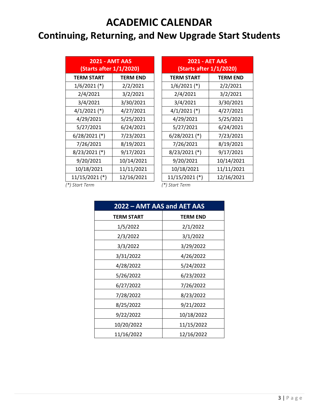#### **ACADEMIC CALENDAR**

### **Continuing, Returning, and New Upgrade Start Students**

| <b>2021 - AMT AAS</b><br>(Starts after 1/1/2020) |                 | <b>2021 - AET AAS</b><br>(Starts after 1/1/2020) |                 |
|--------------------------------------------------|-----------------|--------------------------------------------------|-----------------|
| <b>TERM START</b>                                | <b>TERM END</b> | <b>TERM START</b>                                | <b>TERM END</b> |
| $1/6/2021$ (*)                                   | 2/2/2021        | $1/6/2021$ (*)                                   | 2/2/2021        |
| 2/4/2021                                         | 3/2/2021        | 2/4/2021                                         | 3/2/2021        |
| 3/4/2021                                         | 3/30/2021       | 3/4/2021                                         | 3/30/2021       |
| $4/1/2021$ (*)                                   | 4/27/2021       | $4/1/2021$ (*)                                   | 4/27/2021       |
| 4/29/2021                                        | 5/25/2021       | 4/29/2021                                        | 5/25/2021       |
| 5/27/2021                                        | 6/24/2021       | 5/27/2021                                        | 6/24/2021       |
| $6/28/2021$ (*)                                  | 7/23/2021       | $6/28/2021$ (*)                                  | 7/23/2021       |
| 7/26/2021                                        | 8/19/2021       | 7/26/2021                                        | 8/19/2021       |
| $8/23/2021$ (*)                                  | 9/17/2021       | $8/23/2021$ (*)                                  | 9/17/2021       |
| 9/20/2021                                        | 10/14/2021      | 9/20/2021                                        | 10/14/2021      |
| 10/18/2021                                       | 11/11/2021      | 10/18/2021                                       | 11/11/2021      |
| $11/15/2021$ (*)                                 | 12/16/2021      | 11/15/2021 (*)                                   | 12/16/2021      |

| <b>2021 - AMT AAS</b><br>(Starts after 1/1/2020) |                 | <b>2021 - AET AAS</b><br>(Starts after 1/1/2020) |                 |
|--------------------------------------------------|-----------------|--------------------------------------------------|-----------------|
| TERM START                                       | <b>TERM END</b> | <b>TERM START</b>                                | <b>TERM END</b> |
| $1/6/2021$ (*)                                   | 2/2/2021        | $1/6/2021$ (*)                                   | 2/2/2021        |
| 2/4/2021                                         | 3/2/2021        | 2/4/2021                                         | 3/2/2021        |
| 3/4/2021                                         | 3/30/2021       | 3/4/2021                                         | 3/30/2021       |
| $4/1/2021$ (*)                                   | 4/27/2021       | $4/1/2021$ (*)                                   | 4/27/2021       |
| 4/29/2021                                        | 5/25/2021       | 4/29/2021                                        | 5/25/2021       |
| 5/27/2021                                        | 6/24/2021       | 5/27/2021                                        | 6/24/2021       |
| 5/28/2021(*)                                     | 7/23/2021       | $6/28/2021$ (*)                                  | 7/23/2021       |
| 7/26/2021                                        | 8/19/2021       | 7/26/2021                                        | 8/19/2021       |
| 3/23/2021(*)                                     | 9/17/2021       | $8/23/2021$ (*)                                  | 9/17/2021       |
| 9/20/2021                                        | 10/14/2021      | 9/20/2021                                        | 10/14/2021      |
| 10/18/2021                                       | 11/11/2021      | 10/18/2021                                       | 11/11/2021      |
| $1/15/2021$ (*)                                  | 12/16/2021      | 11/15/2021 (*)                                   | 12/16/2021      |

 *(\*) Start Term (\*) Start Term*

| 2022 - AMT AAS and AET AAS |                 |  |  |  |  |
|----------------------------|-----------------|--|--|--|--|
| <b>TERM START</b>          | <b>TERM END</b> |  |  |  |  |
| 1/5/2022                   | 2/1/2022        |  |  |  |  |
| 2/3/2022                   | 3/1/2022        |  |  |  |  |
| 3/3/2022                   | 3/29/2022       |  |  |  |  |
| 3/31/2022                  | 4/26/2022       |  |  |  |  |
| 4/28/2022                  | 5/24/2022       |  |  |  |  |
| 5/26/2022                  | 6/23/2022       |  |  |  |  |
| 6/27/2022                  | 7/26/2022       |  |  |  |  |
| 7/28/2022                  | 8/23/2022       |  |  |  |  |
| 8/25/2022                  | 9/21/2022       |  |  |  |  |
| 9/22/2022                  | 10/18/2022      |  |  |  |  |
| 10/20/2022                 | 11/15/2022      |  |  |  |  |
| 11/16/2022                 | 12/16/2022      |  |  |  |  |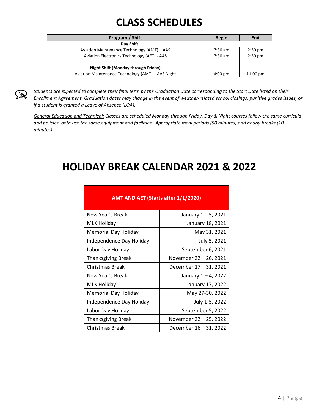# **CLASS SCHEDULES**

| Program / Shift                                   | <b>Begin</b> | End                |
|---------------------------------------------------|--------------|--------------------|
| Day Shift                                         |              |                    |
| Aviation Maintenance Technology (AMT) - AAS       | $7:30$ am    | $2:30 \text{ pm}$  |
| Aviation Electronics Technology (AET) - AAS       | $7:30$ am    | $2:30$ pm          |
|                                                   |              |                    |
| Night Shift (Monday through Friday)               |              |                    |
| Aviation Maintenance Technology (AMT) – AAS Night | $4:00$ pm    | $11:00 \text{ pm}$ |

*Students are expected to complete their final term by the Graduation Date corresponding to the Start Date listed on their Enrollment Agreement. Graduation dates may change in the event of weather-related school closings, punitive grades issues, or if a student is granted a Leave of Absence (LOA).* 

*General Education and Technical; Classes are scheduled Monday through Friday, Day & Night courses follow the same curricula and policies, both use the same equipment and facilities. Appropriate meal periods (50 minutes) and hourly breaks (10 minutes).*

#### **HOLIDAY BREAK CALENDAR 2021 & 2022**

| AMT AND AET (Starts after 1/1/2020) |                        |  |  |  |  |  |
|-------------------------------------|------------------------|--|--|--|--|--|
| New Year's Break                    | January 1 – 5, 2021    |  |  |  |  |  |
| <b>MLK Holiday</b>                  | January 18, 2021       |  |  |  |  |  |
| Memorial Day Holiday                | May 31, 2021           |  |  |  |  |  |
| Independence Day Holiday            | July 5, 2021           |  |  |  |  |  |
| Labor Day Holiday                   | September 6, 2021      |  |  |  |  |  |
| <b>Thanksgiving Break</b>           | November 22 - 26, 2021 |  |  |  |  |  |
| Christmas Break                     | December 17 - 31, 2021 |  |  |  |  |  |
| New Year's Break                    | January 1-4, 2022      |  |  |  |  |  |
| <b>MLK Holiday</b>                  | January 17, 2022       |  |  |  |  |  |
| Memorial Day Holiday                | May 27-30, 2022        |  |  |  |  |  |
| Independence Day Holiday            | July 1-5, 2022         |  |  |  |  |  |
| Labor Day Holiday                   | September 5, 2022      |  |  |  |  |  |
| <b>Thanksgiving Break</b>           | November 22 - 25, 2022 |  |  |  |  |  |
| Christmas Break                     | December 16 - 31, 2022 |  |  |  |  |  |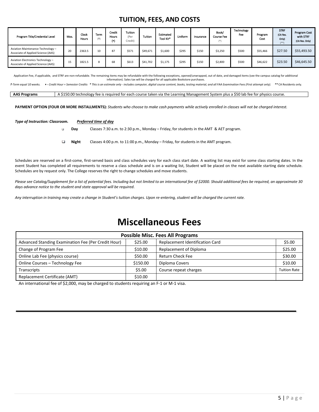#### **TUITION, FEES, AND COSTS**

| Program Title/Credential Level                                          | Mos. | Clock<br>Hours | Term<br>$(+)$ | Credit<br><b>Hours</b><br>(۱ | <b>Tuition</b><br>(Per<br>Credit) | Tuition  | Estimated<br>Tool Kit* | Uniform | Insurance | Book/<br>Course Fee<br>$(1 + 1)$ | Technology<br>Fee | Program<br>Cost | <b>STRF</b><br>(CA Res.<br>Only)<br>$(* *)$ | Program Cost<br>with STRF<br>(CA Res. Only) |
|-------------------------------------------------------------------------|------|----------------|---------------|------------------------------|-----------------------------------|----------|------------------------|---------|-----------|----------------------------------|-------------------|-----------------|---------------------------------------------|---------------------------------------------|
| Aviation Maintenance Technology -<br>Associate of Applied Science (AAS) | 20   | 2363.5         | 10            | 87                           | \$571                             | \$49,671 | \$1,600                | \$295   | \$150     | \$3,250                          | \$500             | \$55,466        | \$27.50                                     | \$55,493.50                                 |
| Aviation Electronics Technology -<br>Associate of Applied Science (AAS) | 15   | 1821.5         | 8             | 68                           | \$613                             | \$41,702 | \$1,175                | \$295   | \$150     | \$2,800                          | \$500             | \$46,622        | \$23.50                                     | \$46,645.50                                 |

Application Fee, if applicable, and STRF are non-refundable. The remaining items may be refundable with the following exceptions, opened/unwrapped, out of date, and damaged items (see the campus catalog for additional information). Sales tax will be charged for all applicable Bookstore purchases.

f-Term equal 10 weeks. ◆ - Credit Hour = Semester Credits \* This is an estimate only - includes computer, digital course content, books, testing material, and all FAA Examination Fees (First attempt only). \*\*CA Residents

**AAS Programs** A \$150.00 technology fee is required for each course taken via the Learning Management System plus a \$50 lab fee for physics course.

**PAYMENT OPTION (FOUR OR MORE INSTALLMENTS):** *Students who choose to make cash payments while actively enrolled in classes will not be charged interest.* 

#### *Type of Instruction: Classroom. Preferred time of day*  $\Box$

**Day** Classes 7:30 a.m. to 2:30 p.m., Monday – Friday, for students in the AMT & AET program.

**Night** Classes 4:00 p.m. to 11:00 p.m., Monday – Friday, for students in the AMT program.  $\Box$ 

Schedules are reserved on a first-come, first-served basis and class schedules vary for each class start date. A waiting list may exist for some class starting dates. In the event Student has completed all requirements to reserve a class schedule and is on a waiting list, Student will be placed on the next available starting date schedule. Schedules are by request only. The College reserves the right to change schedules and move students.

*Please see Catalog/Supplement for a list of potential fees. Including but not limited to an international fee of \$2000. Should additional fees be required, an approximate 30 days advance notice to the student and state approval will be required*.

*Any interruption in training may create a change in Student's tuition charges. Upon re-entering, student will be charged the current rate.*

#### **Miscellaneous Fees**

| <b>Possible Misc. Fees All Programs</b>             |          |                                 |                     |  |  |  |
|-----------------------------------------------------|----------|---------------------------------|---------------------|--|--|--|
| Advanced Standing Examination Fee (Per Credit Hour) | \$25.00  | Replacement Identification Card | \$5.00              |  |  |  |
| Change of Program Fee                               | \$10.00  | Replacement of Diploma          | \$25.00             |  |  |  |
| Online Lab Fee (physics course)                     | \$50.00  | Return Check Fee                | \$30.00             |  |  |  |
| Online Courses - Technology Fee                     | \$150.00 | Diploma Covers                  | \$10.00             |  |  |  |
| Transcripts                                         | \$5.00   | Course repeat charges           | <b>Tuition Rate</b> |  |  |  |
| Replacement Certificate (AMT)                       | \$10.00  |                                 |                     |  |  |  |

An international fee of \$2,000, may be charged to students requiring an F-1 or M-1 visa.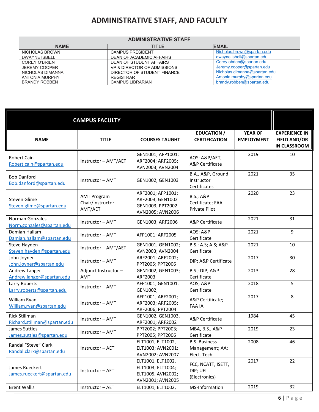#### **ADMINISTRATIVE STAFF, AND FACULTY**

| <b>ADMINISTRATIVE STAFF</b> |                             |                              |  |  |  |  |  |  |
|-----------------------------|-----------------------------|------------------------------|--|--|--|--|--|--|
| <b>NAME</b>                 | TITLE                       | <b>EMAIL</b>                 |  |  |  |  |  |  |
| NICHOLAS BROWN              | <b>CAMPUS PRESIDENT</b>     | Nicholas.brown@spartan.edu   |  |  |  |  |  |  |
| <b>DWAYNE ISBELL</b>        | DEAN OF ACADEMIC AFFAIRS    | dwayne.isbell@spartan.edu    |  |  |  |  |  |  |
| <b>COREY O'BRIEN</b>        | DEAN OF STUDENT AFFAIRS     | Corey.obrien@spartan.edu     |  |  |  |  |  |  |
| <b>JEREMY COOPER</b>        | VP & DIRECTOR OF ADMISSIONS | Jeremy.cooper@spartan.edu    |  |  |  |  |  |  |
| NICHOLAS DIMANNA            | DIRECTOR OF STUDENT FINANCE | Nicholas.dimanna@spartan.edu |  |  |  |  |  |  |
| <b>ANTONIA MURPHY</b>       | <b>REGISTRAR</b>            | Antonia.murphy@spartan.edu   |  |  |  |  |  |  |
| <b>BRANDY ROBBEN</b>        | <b>CAMPUS LIBRARIAN</b>     | brandy.robben@spartan.edu    |  |  |  |  |  |  |

|                                                      | <b>CAMPUS FACULTY</b>                              |                                                                                 |                                                           |                                     |                                                                    |
|------------------------------------------------------|----------------------------------------------------|---------------------------------------------------------------------------------|-----------------------------------------------------------|-------------------------------------|--------------------------------------------------------------------|
| <b>NAME</b>                                          | <b>TITLE</b>                                       | <b>COURSES TAUGHT</b>                                                           | <b>EDUCATION /</b><br><b>CERTIFICATION</b>                | <b>YEAR OF</b><br><b>EMPLOYMENT</b> | <b>EXPERIENCE IN</b><br><b>FIELD AND/OR</b><br><b>IN CLASSROOM</b> |
| <b>Robert Cain</b><br>Robert.cain@spartan.edu        | Instructor - AMT/AET                               | GEN1001; AFP1001;<br>ARF2004; ARF2005;<br>AVN2003; AVN2004                      | AOS: A&P/AET,<br><b>A&amp;P</b> Certificate               | 2019                                | 10                                                                 |
| <b>Bob Danford</b><br>Bob.danford@spartan.edu        | Instructor - AMT                                   | GEN1002, GEN1003                                                                | B.A., A&P, Ground<br>Instructor<br>Certificates           | 2021                                | 35                                                                 |
| Steven Glime<br>Steven.glime@spartan.edu             | <b>AMT Program</b><br>Chair/Instructor-<br>AMT/AET | ARF2001; AFP1001;<br>ARF2003; GEN1002<br>GEN1003; PPT2002<br>AVN2005; AVN2006   | <b>B.S.; A&amp;P</b><br>Certificate; FAA<br>Private Pilot | 2020                                | 23                                                                 |
| Norman Gonzales<br>Norm.gonzales@spartan.edu         | Instructor - AMT                                   | GEN1003; ARF2006                                                                | A&P Certificate                                           | 2021                                | 31                                                                 |
| Damian Hallam<br>Damian.hallam@spartan.edu           | Instructor - AMT                                   | AFP1001; ARF2005                                                                | AOS; A&P<br>Certificate                                   | 2021                                | 9                                                                  |
| Steve Hayden<br>Steven.hayden@spartan.edu            | Instructor - AMT/AET                               | GEN1001; GEN1002;<br>AVN2003; AVN2004                                           | B.S.; A.S; A.S; A&P<br>Certificate                        | 2021                                | 10                                                                 |
| John Joyner<br>John.joyner@spartan.edu               | Instructor - AMT                                   | ARF2001; ARF2002;<br>PPT2005; PPT2006                                           | DIP; A&P Certificate                                      | 2017                                | 30                                                                 |
| Andrew Langer<br>Andrew.langer@spartan.edu           | Adjunct Instructor-<br>AMT                         | GEN1002; GEN1003;<br>ARF2003                                                    | <b>B.S.; DIP; A&amp;P</b><br>Certificate                  | 2013                                | 28                                                                 |
| Larry Roberts<br>Larry.roberts@spartan.edu           | Instructor - AMT                                   | AFP1001; GEN1001,<br>GEN1002;                                                   | AOS; A&P<br>Certificate                                   | 2018                                | 5                                                                  |
| William Ryan<br>William.ryan@spartan.edu             | Instructor - AMT                                   | AFP1001; ARF2001;<br>ARF2003; ARF2005;<br>ARF2006; PPT2004                      | A&P Certificate;<br><b>FAA IA</b>                         | 2017                                | 8                                                                  |
| <b>Rick Stillman</b><br>Richard.stillman@spartan.edu | Instructor - AMT                                   | GEN1002, GEN1003,<br>ARF2001; ARF2002                                           | A&P Certificate                                           | 1984                                | 45                                                                 |
| James Suttles<br>James.suttles@spartan.edu           | Instructor - AMT                                   | PPT2002; PPT2003;<br>PPT2005; PPT2006                                           | MBA, B.S., A&P<br>Certificate                             | 2019                                | 23                                                                 |
| Randal "Steve" Clark<br>Randal.clark@spartan.edu     | Instructor - AET                                   | ELT1001, ELT1002,<br>ELT1003; AVN2001;<br>AVN2002; AVN2007                      | <b>B.S. Business</b><br>Management; AA:<br>Elect. Tech.   | 2008                                | 46                                                                 |
| James Rueckert<br>James.rueckert@spartan.edu         | Instructor - AET                                   | ELT1001, ELT1002,<br>ELT1003; ELT1004;<br>ELT1005, AVN2002;<br>AVN2001; AVN2005 | FCC, NCATT, ISETT,<br>DIP; UEI<br>(Electronics)           | 2017                                | 22                                                                 |
| <b>Brent Wallis</b>                                  | Instructor - AET                                   | ELT1001, ELT1002,                                                               | MS-Information                                            | 2019                                | 32                                                                 |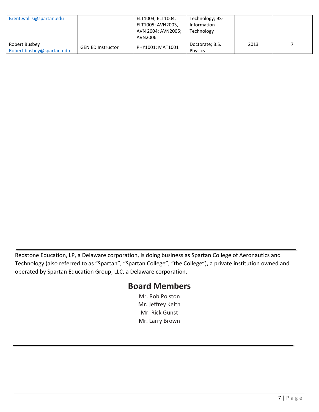| Brent.wallis@spartan.edu                   |                          | ELT1003, ELT1004,<br>ELT1005; AVN2003,<br>AVN 2004; AVN2005;<br>AVN2006 | Technology; BS-<br>Information<br>Technology |      |  |
|--------------------------------------------|--------------------------|-------------------------------------------------------------------------|----------------------------------------------|------|--|
| Robert Busbey<br>Robert.busbey@spartan.edu | <b>GEN ED Instructor</b> | PHY1001; MAT1001                                                        | Doctorate; B.S.<br><b>Physics</b>            | 2013 |  |

Redstone Education, LP, a Delaware corporation, is doing business as Spartan College of Aeronautics and Technology (also referred to as "Spartan", "Spartan College", "the College"), a private institution owned and operated by Spartan Education Group, LLC, a Delaware corporation.

#### **Board Members**

Mr. Rob Polston Mr. Jeffrey Keith Mr. Rick Gunst Mr. Larry Brown